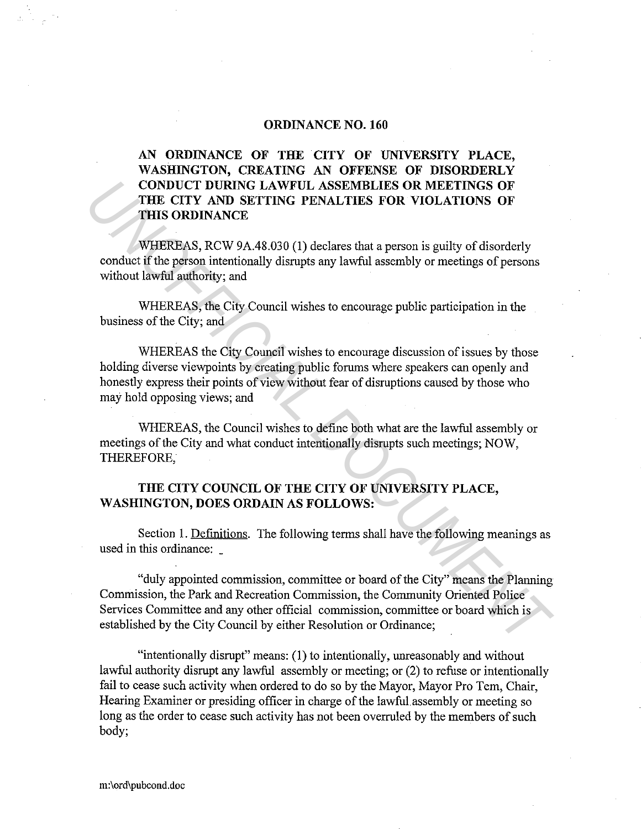## **ORDINANCE NO. 160**

## **AN ORDINANCE OF THE CITY OF UNIVERSITY PLACE, WASHINGTON, CREATING AN OFFENSE OF DISORDERLY CONDUCT DURING LAWFUL ASSEMBLIES OR MEETINGS OF THE CITY AND SETTING PENALTIES FOR VIOLATIONS OF THIS ORDINANCE**

WHEREAS, RCW 9A.48.030 (1) declares that a person is guilty of disorderly conduct if the person intentionally disrupts any lawful assembly or meetings of persons without lawful authority; and

WHEREAS, the City Council wishes to encourage public participation in the business of the City; and

WHEREAS the City Council wishes to encourage discussion of issues by those holding diverse viewpoints by creating public forums where speakers can openly and honestly express their points of view without fear of disruptions caused by those who may hold opposing views; and

WHEREAS, the Council wishes to define both what are the lawful assembly or meetings of the City and what conduct intentionally disrupts such meetings; NOW, THEREFORE,

## **THE CITY COUNCIL OF THE CITY OF UNIVERSITY PLACE, WASHINGTON, DOES ORDAIN AS FOLLOWS:**

Section 1. Definitions. The following terms shall have the following meanings as used in this ordinance:

"duly appointed commission, committee or board of the City" means the Planning Commission, the Park and Recreation Commission, the Community Oriented Police Services Connnittee and any other official commission, committee or board which is established by the City Council by either Resolution or Ordinance; **CONDUCT DURING LAWFUL ASSEMBLIES OR MEETINGS OF**<br> **THE CITY AND SETTING PENALTIES FOR VIOLATIONS OF**<br> **THE CITY AND SETTING PENALTIES FOR VIOLATIONS OF**<br> **WHEREAS, RCW 9A.48.030 (1) declares that a person is guilty of dis** 

"intentionally disrupt" means: (1) to intentionally, unreasonably and without lawful authority disrupt any lawful assembly or meeting; or (2) to refuse or intentionally fail to cease such activity when ordered to do so by the Mayor, Mayor Pro Tem, Chair, Hearing Examiner or presiding officer in charge of the lawful.assembly or meeting so long as the order to cease such activity has not been overruled by the members of such body;